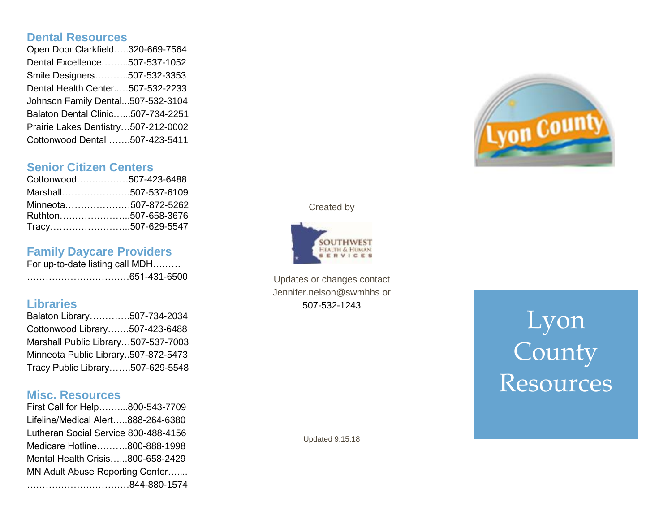#### **Dental Resources**

Open Door Clarkfield…..320 -669 -7564 Dental Excellence……...507 -537 -1052 Smile Designers………..507 -532 -3353 Dental Health Center..…507 -532 -2233 Johnson Family Dental...507 -532 -3104 Balaton Dental Clinic…...507 -734 -2251 Prairie Lakes Dentistry…507 -212 -0002 Cottonwood Dental …….507 -423 -5411

#### **Senior Citizen Centers**

| Cottonwood507-423-6488 |  |
|------------------------|--|
| Marshall507-537-6109   |  |
| Minneota507-872-5262   |  |
| Ruthton507-658-3676    |  |
| Tracy507-629-5547      |  |

## **Family Daycare Providers**

For up-to-date listing call MDH......... ……………………………651 -431 -6500

#### **Libraries**

Balaton Library………….507 -734 -2034 Cottonwood Library….…507 -423 -6488 Marshall Public Library …507 -537 -7003 Minneota Public Library..507 -872 -5473 Tracy Public Library… ….507 -629 -5548

#### **Misc. Resources**

First Call for Help……....800 -543 -7709 Lifeline/Medical Alert…..888 -264 -6380 Lutheran Social Service 800 -488 -4156 Medicare Hotline……….800 -888 -1998 Mental Health Crisis…...800 -658 -2429 MN Adult Abuse Reporting Center….... ……………………………844 -880 -1574



Created by



Updates or changes contact [Jennifer.nelson@swmhhs](mailto:Jennifer.nelson@swmhhs) or 507 -532 -1243

# Lyon County Resources

Updated 9.15.18